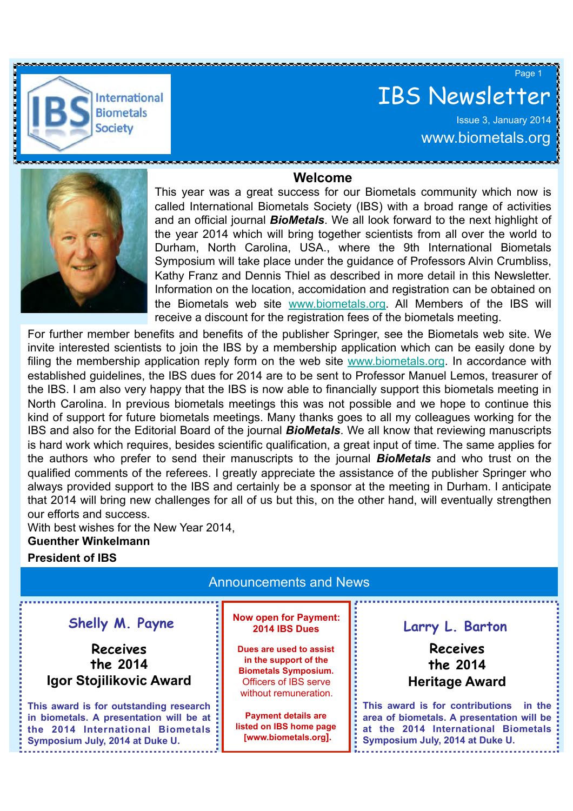

# IBS Newsletter

Issue 3, January 2014 www.biometals.org

Page 1





This year was a great success for our Biometals community which now is called International Biometals Society (IBS) with a broad range of activities and an official journal *BioMetals*. We all look forward to the next highlight of the year 2014 which will bring together scientists from all over the world to Durham, North Carolina, USA., where the 9th International Biometals Symposium will take place under the guidance of Professors Alvin Crumbliss, Kathy Franz and Dennis Thiel as described in more detail in this Newsletter. Information on the location, accomidation and registration can be obtained on the Biometals web site www.biometals.org. All Members of the IBS will receive a discount for the registration fees of the biometals meeting.

kind of support for future biometals meetings. Many thanks goes to all my colleagues working for the is hard work which requires, besides scientific qualification, a great input of time. The same applies for For further member benefits and benefits of the publisher Springer, see the Biometals web site. We invite interested scientists to join the IBS by a membership application which can be easily done by filing the membership application reply form on the web site www.biometals.org. In accordance with established guidelines, the IBS dues for 2014 are to be sent to Professor Manuel Lemos, treasurer of the IBS. I am also very happy that the IBS is now able to financially support this biometals meeting in North Carolina. In previous biometals meetings this was not possible and we hope to continue this IBS and also for the Editorial Board of the journal *BioMetals*. We all know that reviewing manuscripts the authors who prefer to send their manuscripts to the journal *BioMetals* and who trust on the qualified comments of the referees. I greatly appreciate the assistance of the publisher Springer who always provided support to the IBS and certainly be a sponsor at the meeting in Durham. I anticipate that 2014 will bring new challenges for all of us but this, on the other hand, will eventually strengthen our efforts and success.

With best wishes for the New Year 2014, **Guenther Winkelmann** 

#### **President of IBS**

| <b>Announcements and News</b>                                                                                                                             |                                                                                                                                          |                                                                                                                                                                  |
|-----------------------------------------------------------------------------------------------------------------------------------------------------------|------------------------------------------------------------------------------------------------------------------------------------------|------------------------------------------------------------------------------------------------------------------------------------------------------------------|
| Shelly M. Payne                                                                                                                                           | <b>Now open for Payment:</b><br>2014 IBS Dues                                                                                            | Larry L. Barton                                                                                                                                                  |
| <b>Receives</b><br>the 2014<br>Igor Stojilikovic Award                                                                                                    | Dues are used to assist<br>in the support of the<br><b>Biometals Symposium.</b><br><b>Officers of IBS serve</b><br>without remuneration. | <b>Receives</b><br>the 2014<br><b>Heritage Award</b>                                                                                                             |
| This award is for outstanding research<br>in biometals. A presentation will be at<br>the 2014 International Biometals:<br>Symposium July, 2014 at Duke U. | <b>Payment details are</b><br>listed on IBS home page<br>[www.biometals.org].                                                            | This award is for contributions<br>in the<br>area of biometals. A presentation will be<br>at the 2014 International Biometals<br>Symposium July, 2014 at Duke U. |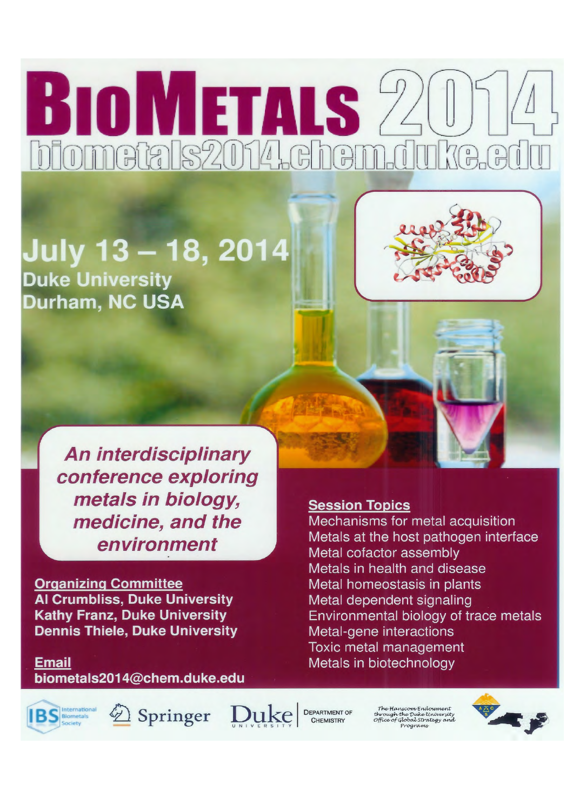# **BIOMETALS 20** blometals2014.chem.dul **KA.HI**

## July 13 - 18, 2014 **Duke University** Durham, NC USA



**An interdisciplinary** conference exploring metals in biology, medicine, and the environment

**Organizing Committee Al Crumbliss, Duke University Kathy Franz, Duke University Dennis Thiele, Duke University** 

**Email** biometals2014@chem.duke.edu

### **Session Topics**

Mechanisms for metal acquisition Metals at the host pathogen interface Metal cofactor assembly Metals in health and disease Metal homeostasis in plants Metal dependent signaling Environmental biology of trace metals Metal-gene interactions Toxic metal management Metals in biotechnology

Springer

Duke **DEPARTMENT OF** 

The Hanscom Endowment through the Duke University<br>Office of Global Strategy and

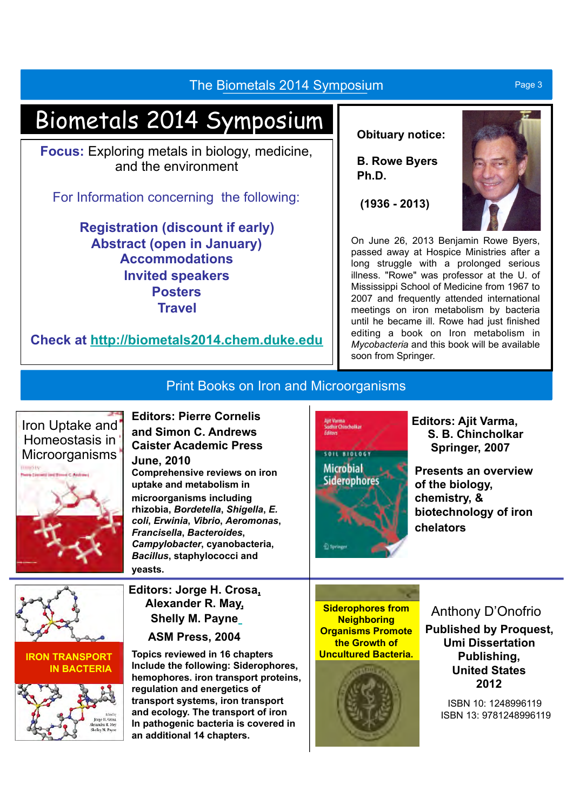### The Biometals 2014 Symposium **Page 3** Page 3

# Biometals 2014 Symposium

**Focus:** Exploring metals in biology, medicine, and the environment

For Information concerning the following:

**Registration (discount if early) Abstract (open in January) Accommodations Invited speakers Posters Travel** 

**Check at http://biometals2014.chem.duke.edu**

#### **Obituary notice:**

**B. Rowe Byers Ph.D.** 

 **(1936 - 2013)** 



On June 26, 2013 Benjamin Rowe Byers, passed away at Hospice Ministries after a long struggle with a prolonged serious illness. "Rowe" was professor at the U. of Mississippi School of Medicine from 1967 to 2007 and frequently attended international meetings on iron metabolism by bacteria until he became ill. Rowe had just finished editing a book on Iron metabolism in *Mycobacteria* and this book will be available soon from Springer.

## Print Books on Iron and Microorganisms





**and Simon C. Andrews** Microorganisms **Caister Academic Press June, 2010**

> **Comprehensive reviews on iron uptake and metabolism in microorganisms including rhizobia,** *Bordetella***,** *Shigella***,** *E. coli***,** *Erwinia***,** *Vibrio***,** *Aeromonas***,**  *Francisella***,** *Bacteroides***,**  *Campylobacter***, cyanobacteria,**  *Bacillus***, staphylococci and yeasts.**

**Editors: Jorge H. Crosa, Alexander R. May, Shelly M. Payne**

**ASM Press, 2004** 

**Topics reviewed in 16 chapters Include the following: Siderophores, hemophores. iron transport proteins, regulation and energetics of transport systems, iron transport and ecology. The transport of iron In pathogenic bacteria is covered in an additional 14 chapters.** 

**Siderophores from Neighboring Organisms Promote the Growth of Uncultured Bacteria.** 

**Microbial Siderophores** 



### **Editors: Ajit Varma, S. B. Chincholkar Springer, 2007**

**Presents an overview of the biology, chemistry, & biotechnology of iron chelators** 

Anthony D'Onofrio

**Published by Proquest, Umi Dissertation Publishing, United States 2012** 

> ISBN 10: 1248996119 ISBN 13: 9781248996119